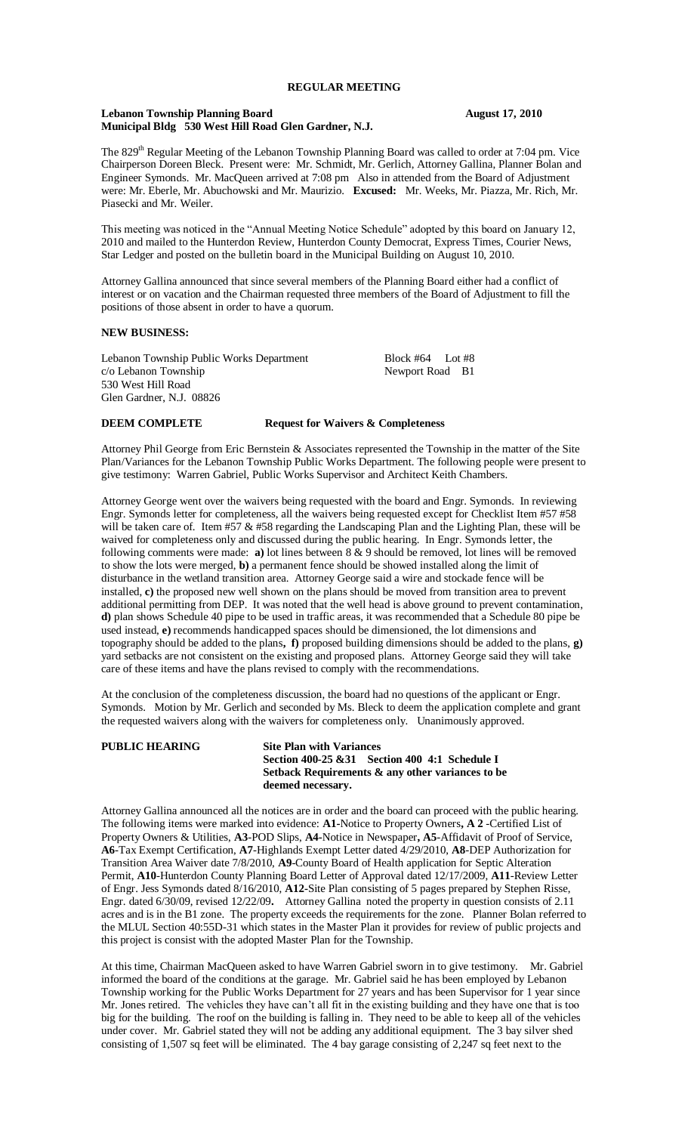#### Lebanon Township Planning Board<br> **August 17, 2010 Municipal Bldg 530 West Hill Road Glen Gardner, N.J.**

The 829<sup>th</sup> Regular Meeting of the Lebanon Township Planning Board was called to order at 7:04 pm. Vice Chairperson Doreen Bleck. Present were: Mr. Schmidt, Mr. Gerlich, Attorney Gallina, Planner Bolan and Engineer Symonds. Mr. MacQueen arrived at 7:08 pm Also in attended from the Board of Adjustment were: Mr. Eberle, Mr. Abuchowski and Mr. Maurizio. **Excused:** Mr. Weeks, Mr. Piazza, Mr. Rich, Mr. Piasecki and Mr. Weiler.

This meeting was noticed in the "Annual Meeting Notice Schedule" adopted by this board on January 12, 2010 and mailed to the Hunterdon Review, Hunterdon County Democrat, Express Times, Courier News, Star Ledger and posted on the bulletin board in the Municipal Building on August 10, 2010.

Attorney Gallina announced that since several members of the Planning Board either had a conflict of interest or on vacation and the Chairman requested three members of the Board of Adjustment to fill the positions of those absent in order to have a quorum.

## **NEW BUSINESS:**

Lebanon Township Public Works Department Block #64 Lot #8<br>
c/o Lebanon Township c/o Lebanon Township 530 West Hill Road Glen Gardner, N.J. 08826

**DEEM COMPLETE Request for Waivers & Completeness**

Attorney Phil George from Eric Bernstein & Associates represented the Township in the matter of the Site Plan/Variances for the Lebanon Township Public Works Department. The following people were present to give testimony: Warren Gabriel, Public Works Supervisor and Architect Keith Chambers.

Attorney George went over the waivers being requested with the board and Engr. Symonds. In reviewing Engr. Symonds letter for completeness, all the waivers being requested except for Checklist Item #57 #58 will be taken care of. Item #57 & #58 regarding the Landscaping Plan and the Lighting Plan, these will be waived for completeness only and discussed during the public hearing. In Engr. Symonds letter, the following comments were made: **a)** lot lines between 8 & 9 should be removed, lot lines will be removed to show the lots were merged, **b)** a permanent fence should be showed installed along the limit of disturbance in the wetland transition area. Attorney George said a wire and stockade fence will be installed, **c)** the proposed new well shown on the plans should be moved from transition area to prevent additional permitting from DEP. It was noted that the well head is above ground to prevent contamination, **d)** plan shows Schedule 40 pipe to be used in traffic areas, it was recommended that a Schedule 80 pipe be used instead, **e)** recommends handicapped spaces should be dimensioned, the lot dimensions and topography should be added to the plans**, f)** proposed building dimensions should be added to the plans, **g)** yard setbacks are not consistent on the existing and proposed plans. Attorney George said they will take care of these items and have the plans revised to comply with the recommendations.

At the conclusion of the completeness discussion, the board had no questions of the applicant or Engr. Symonds. Motion by Mr. Gerlich and seconded by Ms. Bleck to deem the application complete and grant the requested waivers along with the waivers for completeness only. Unanimously approved.

### **PUBLIC HEARING Site Plan with Variances**

# **Section 400-25 &31 Section 400 4:1 Schedule I Setback Requirements & any other variances to be deemed necessary.**

Attorney Gallina announced all the notices are in order and the board can proceed with the public hearing. The following items were marked into evidence: **A1-**Notice to Property Owners**, A 2** -Certified List of Property Owners & Utilities, **A3**-POD Slips, **A4-**Notice in Newspaper**, A5**-Affidavit of Proof of Service, **A6**-Tax Exempt Certification, **A7**-Highlands Exempt Letter dated 4/29/2010, **A8**-DEP Authorization for Transition Area Waiver date 7/8/2010, **A9**-County Board of Health application for Septic Alteration Permit, **A10**-Hunterdon County Planning Board Letter of Approval dated 12/17/2009, **A11**-Review Letter of Engr. Jess Symonds dated 8/16/2010, **A12-**Site Plan consisting of 5 pages prepared by Stephen Risse, Engr. dated 6/30/09, revised 12/22/09**.** Attorney Gallina noted the property in question consists of 2.11 acres and is in the B1 zone. The property exceeds the requirements for the zone. Planner Bolan referred to the MLUL Section 40:55D-31 which states in the Master Plan it provides for review of public projects and this project is consist with the adopted Master Plan for the Township.

At this time, Chairman MacQueen asked to have Warren Gabriel sworn in to give testimony. Mr. Gabriel informed the board of the conditions at the garage. Mr. Gabriel said he has been employed by Lebanon Township working for the Public Works Department for 27 years and has been Supervisor for 1 year since Mr. Jones retired. The vehicles they have can't all fit in the existing building and they have one that is too big for the building. The roof on the building is falling in. They need to be able to keep all of the vehicles under cover. Mr. Gabriel stated they will not be adding any additional equipment. The 3 bay silver shed consisting of 1,507 sq feet will be eliminated. The 4 bay garage consisting of 2,247 sq feet next to the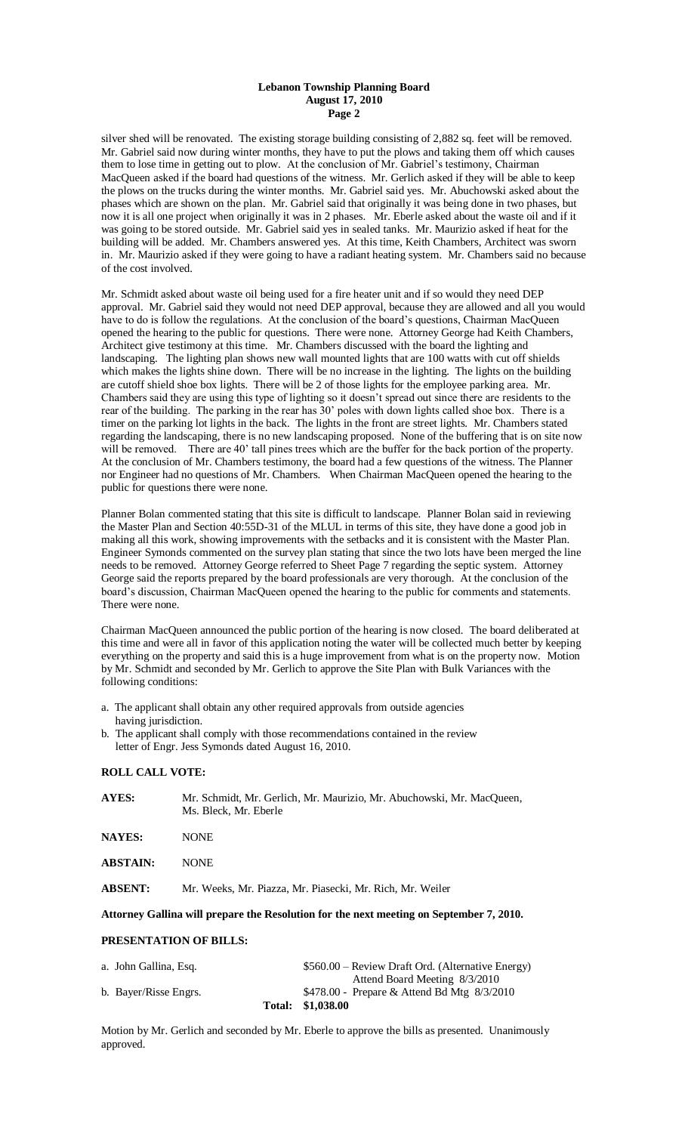#### **Lebanon Township Planning Board August 17, 2010 Page 2**

silver shed will be renovated. The existing storage building consisting of 2,882 sq. feet will be removed. Mr. Gabriel said now during winter months, they have to put the plows and taking them off which causes them to lose time in getting out to plow. At the conclusion of Mr. Gabriel's testimony, Chairman MacQueen asked if the board had questions of the witness. Mr. Gerlich asked if they will be able to keep the plows on the trucks during the winter months. Mr. Gabriel said yes. Mr. Abuchowski asked about the phases which are shown on the plan. Mr. Gabriel said that originally it was being done in two phases, but now it is all one project when originally it was in 2 phases. Mr. Eberle asked about the waste oil and if it was going to be stored outside. Mr. Gabriel said yes in sealed tanks. Mr. Maurizio asked if heat for the building will be added. Mr. Chambers answered yes. At this time, Keith Chambers, Architect was sworn in. Mr. Maurizio asked if they were going to have a radiant heating system. Mr. Chambers said no because of the cost involved.

Mr. Schmidt asked about waste oil being used for a fire heater unit and if so would they need DEP approval. Mr. Gabriel said they would not need DEP approval, because they are allowed and all you would have to do is follow the regulations. At the conclusion of the board's questions, Chairman MacQueen opened the hearing to the public for questions. There were none. Attorney George had Keith Chambers, Architect give testimony at this time. Mr. Chambers discussed with the board the lighting and landscaping. The lighting plan shows new wall mounted lights that are 100 watts with cut off shields which makes the lights shine down. There will be no increase in the lighting. The lights on the building are cutoff shield shoe box lights. There will be 2 of those lights for the employee parking area. Mr. Chambers said they are using this type of lighting so it doesn't spread out since there are residents to the rear of the building. The parking in the rear has 30' poles with down lights called shoe box. There is a timer on the parking lot lights in the back. The lights in the front are street lights. Mr. Chambers stated regarding the landscaping, there is no new landscaping proposed. None of the buffering that is on site now will be removed. There are 40' tall pines trees which are the buffer for the back portion of the property. At the conclusion of Mr. Chambers testimony, the board had a few questions of the witness. The Planner nor Engineer had no questions of Mr. Chambers. When Chairman MacQueen opened the hearing to the public for questions there were none.

Planner Bolan commented stating that this site is difficult to landscape. Planner Bolan said in reviewing the Master Plan and Section 40:55D-31 of the MLUL in terms of this site, they have done a good job in making all this work, showing improvements with the setbacks and it is consistent with the Master Plan. Engineer Symonds commented on the survey plan stating that since the two lots have been merged the line needs to be removed. Attorney George referred to Sheet Page 7 regarding the septic system. Attorney George said the reports prepared by the board professionals are very thorough. At the conclusion of the board's discussion, Chairman MacQueen opened the hearing to the public for comments and statements. There were none.

Chairman MacQueen announced the public portion of the hearing is now closed. The board deliberated at this time and were all in favor of this application noting the water will be collected much better by keeping everything on the property and said this is a huge improvement from what is on the property now. Motion by Mr. Schmidt and seconded by Mr. Gerlich to approve the Site Plan with Bulk Variances with the following conditions:

- a. The applicant shall obtain any other required approvals from outside agencies having jurisdiction.
- b. The applicant shall comply with those recommendations contained in the review letter of Engr. Jess Symonds dated August 16, 2010.

## **ROLL CALL VOTE:**

| <b>AYES:</b>    | Mr. Schmidt, Mr. Gerlich, Mr. Maurizio, Mr. Abuchowski, Mr. MacQueen,<br>Ms. Bleck, Mr. Eberle |  |
|-----------------|------------------------------------------------------------------------------------------------|--|
| <b>NAYES:</b>   | <b>NONE</b>                                                                                    |  |
| <b>ABSTAIN:</b> | <b>NONE</b>                                                                                    |  |
| <b>ABSENT:</b>  | Mr. Weeks, Mr. Piazza, Mr. Piasecki, Mr. Rich, Mr. Weiler                                      |  |
|                 |                                                                                                |  |

**Attorney Gallina will prepare the Resolution for the next meeting on September 7, 2010.**

## **PRESENTATION OF BILLS:**

|                       | Total: \$1,038.00                                 |
|-----------------------|---------------------------------------------------|
| b. Bayer/Risse Engrs. | \$478.00 - Prepare & Attend Bd Mtg $8/3/2010$     |
|                       | Attend Board Meeting 8/3/2010                     |
| a. John Gallina, Esq. | \$560.00 – Review Draft Ord. (Alternative Energy) |

Motion by Mr. Gerlich and seconded by Mr. Eberle to approve the bills as presented. Unanimously approved.